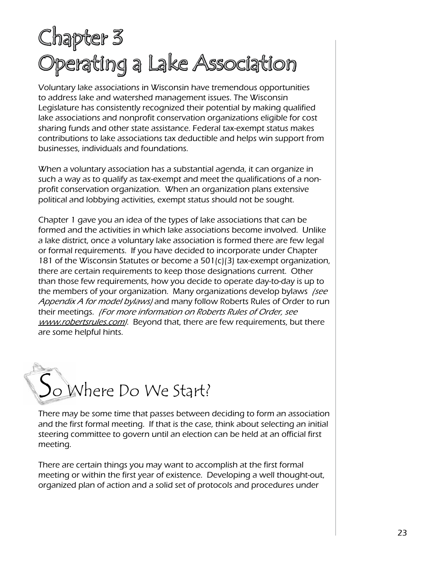## Chapter 3 Operating a Lake Association

Voluntary lake associations in Wisconsin have tremendous opportunities to address lake and watershed management issues. The Wisconsin Legislature has consistently recognized their potential by making qualified lake associations and nonprofit conservation organizations eligible for cost sharing funds and other state assistance. Federal tax-exempt status makes contributions to lake associations tax deductible and helps win support from businesses, individuals and foundations.

When a voluntary association has a substantial agenda, it can organize in such a way as to qualify as tax-exempt and meet the qualifications of a nonprofit conservation organization. When an organization plans extensive political and lobbying activities, exempt status should not be sought.

Chapter 1 gave you an idea of the types of lake associations that can be formed and the activities in which lake associations become involved. Unlike a lake district, once a voluntary lake association is formed there are few legal or formal requirements. If you have decided to incorporate under Chapter 181 of the Wisconsin Statutes or become a 501(c)(3) tax-exempt organization, there are certain requirements to keep those designations current. Other than those few requirements, how you decide to operate day-to-day is up to the members of your organization. Many organizations develop bylaws /see Appendix A for model bylaws) and many follow Roberts Rules of Order to run their meetings. (For more information on Roberts Rules of Order, see www.robertsrules.com/. Beyond that, there are few requirements, but there are some helpful hints.



There may be some time that passes between deciding to form an association and the first formal meeting. If that is the case, think about selecting an initial steering committee to govern until an election can be held at an official first meeting.

There are certain things you may want to accomplish at the first formal meeting or within the first year of existence. Developing a well thought-out, organized plan of action and a solid set of protocols and procedures under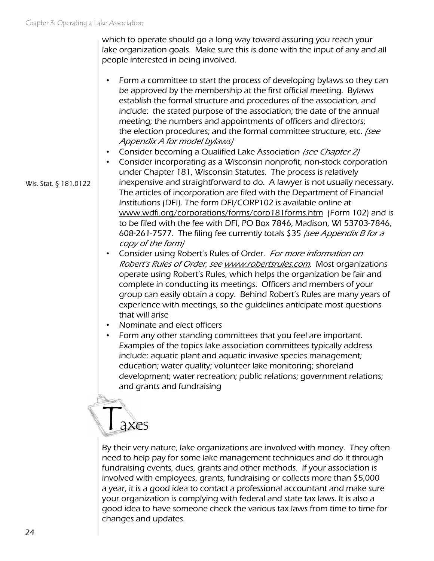Wis. Stat. § 181.0122

which to operate should go a long way toward assuring you reach your lake organization goals. Make sure this is done with the input of any and all people interested in being involved.

- Form a committee to start the process of developing bylaws so they can be approved by the membership at the first official meeting. Bylaws establish the formal structure and procedures of the association, and include: the stated purpose of the association; the date of the annual meeting; the numbers and appointments of officers and directors; the election procedures; and the formal committee structure, etc. /see Appendix A for model bylaws)
- Consider becoming a Qualified Lake Association (see Chapter 2)
- Consider incorporating as a Wisconsin nonprofit, non-stock corporation under Chapter 181, Wisconsin Statutes. The process is relatively inexpensive and straightforward to do. A lawyer is not usually necessary. The articles of incorporation are filed with the Department of Financial Institutions (DFI). The form DFI/CORP102 is available online at [www.wdfi.org/corporations/forms/corp181forms.htm](http://www.wdfi.org/corporations/forms/corp181forms.htm) (Form 102) and is to be filed with the fee with DFI, PO Box 7846, Madison, WI 53703-7846, 608-261-7577. The filing fee currently totals \$35 (see Appendix B for a copy of the form)
- Consider using Robert's Rules of Order. For more information on Robert's Rules of Order, see www.robertsrules.com. Most organizations operate using Robert's Rules, which helps the organization be fair and complete in conducting its meetings. Officers and members of your group can easily obtain a copy. Behind Robert's Rules are many years of experience with meetings, so the guidelines anticipate most questions that will arise
- Nominate and elect officers
- Form any other standing committees that you feel are important. Examples of the topics lake association committees typically address include: aquatic plant and aquatic invasive species management; education; water quality; volunteer lake monitoring; shoreland development; water recreation; public relations; government relations; and grants and fundraising

## Taxes

By their very nature, lake organizations are involved with money. They often need to help pay for some lake management techniques and do it through fundraising events, dues, grants and other methods. If your association is involved with employees, grants, fundraising or collects more than \$5,000 a year, it is a good idea to contact a professional accountant and make sure your organization is complying with federal and state tax laws. It is also a good idea to have someone check the various tax laws from time to time for changes and updates.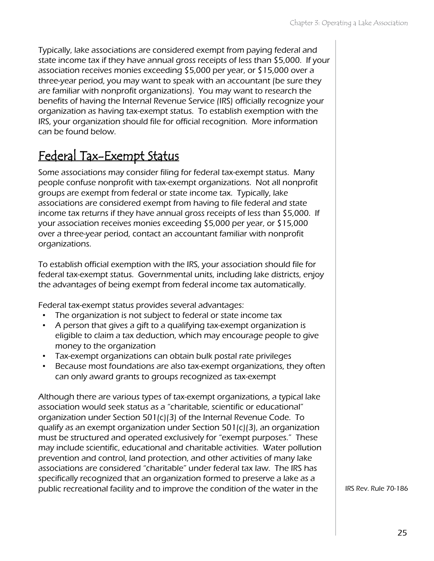Typically, lake associations are considered exempt from paying federal and state income tax if they have annual gross receipts of less than \$5,000. If your association receives monies exceeding \$5,000 per year, or \$15,000 over a three-year period, you may want to speak with an accountant (be sure they are familiar with nonprofit organizations). You may want to research the benefits of having the Internal Revenue Service (IRS) officially recognize your organization as having tax-exempt status. To establish exemption with the IRS, your organization should file for official recognition. More information can be found below.

### Federal Tax-Exempt Status

Some associations may consider filing for federal tax-exempt status. Many people confuse nonprofit with tax-exempt organizations. Not all nonprofit groups are exempt from federal or state income tax. Typically, lake associations are considered exempt from having to file federal and state income tax returns if they have annual gross receipts of less than \$5,000. If your association receives monies exceeding \$5,000 per year, or \$15,000 over a three-year period, contact an accountant familiar with nonprofit organizations.

To establish official exemption with the IRS, your association should file for federal tax-exempt status. Governmental units, including lake districts, enjoy the advantages of being exempt from federal income tax automatically.

Federal tax-exempt status provides several advantages:

- The organization is not subject to federal or state income tax
- A person that gives a gift to a qualifying tax-exempt organization is eligible to claim a tax deduction, which may encourage people to give money to the organization
- Tax-exempt organizations can obtain bulk postal rate privileges
- Because most foundations are also tax-exempt organizations, they often can only award grants to groups recognized as tax-exempt

Although there are various types of tax-exempt organizations, a typical lake association would seek status as a "charitable, scientific or educational" organization under Section 501(c)(3) of the Internal Revenue Code. To qualify as an exempt organization under Section 501(c)(3), an organization must be structured and operated exclusively for "exempt purposes." These may include scientific, educational and charitable activities. Water pollution prevention and control, land protection, and other activities of many lake associations are considered "charitable" under federal tax law. The IRS has specifically recognized that an organization formed to preserve a lake as a public recreational facility and to improve the condition of the water in the

IRS Rev. Rule 70-186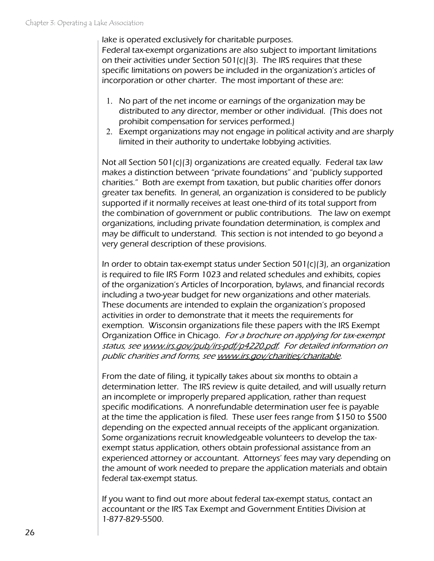lake is operated exclusively for charitable purposes. Federal tax-exempt organizations are also subject to important limitations on their activities under Section 501(c)(3). The IRS requires that these specific limitations on powers be included in the organization's articles of incorporation or other charter. The most important of these are:

- 1. No part of the net income or earnings of the organization may be distributed to any director, member or other individual. (This does not prohibit compensation for services performed.)
- 2. Exempt organizations may not engage in political activity and are sharply limited in their authority to undertake lobbying activities.

Not all Section 501(c)(3) organizations are created equally. Federal tax law makes a distinction between "private foundations" and "publicly supported charities." Both are exempt from taxation, but public charities offer donors greater tax benefits. In general, an organization is considered to be publicly supported if it normally receives at least one-third of its total support from the combination of government or public contributions. The law on exempt organizations, including private foundation determination, is complex and may be difficult to understand. This section is not intended to go beyond a very general description of these provisions.

In order to obtain tax-exempt status under Section 501(c)(3), an organization is required to file IRS Form 1023 and related schedules and exhibits, copies of the organization's Articles of Incorporation, bylaws, and financial records including a two-year budget for new organizations and other materials. These documents are intended to explain the organization's proposed activities in order to demonstrate that it meets the requirements for exemption. Wisconsin organizations file these papers with the IRS Exempt Organization Office in Chicago. For a brochure on applying for tax-exempt status, see [www.irs.gov/pub/irs-pdf/p4220.pdf](http://www.irs.gov/pub/irs-pdf/p4220.pdf). For detailed information on public charities and forms, see [www.irs.gov/charities/charitable](http://www.irs.gov/charities/charitable/index.html).

From the date of filing, it typically takes about six months to obtain a determination letter. The IRS review is quite detailed, and will usually return an incomplete or improperly prepared application, rather than request specific modifications. A nonrefundable determination user fee is payable at the time the application is filed. These user fees range from \$150 to \$500 depending on the expected annual receipts of the applicant organization. Some organizations recruit knowledgeable volunteers to develop the taxexempt status application, others obtain professional assistance from an experienced attorney or accountant. Attorneys' fees may vary depending on the amount of work needed to prepare the application materials and obtain federal tax-exempt status.

If you want to find out more about federal tax-exempt status, contact an accountant or the IRS Tax Exempt and Government Entities Division at 1-877-829-5500.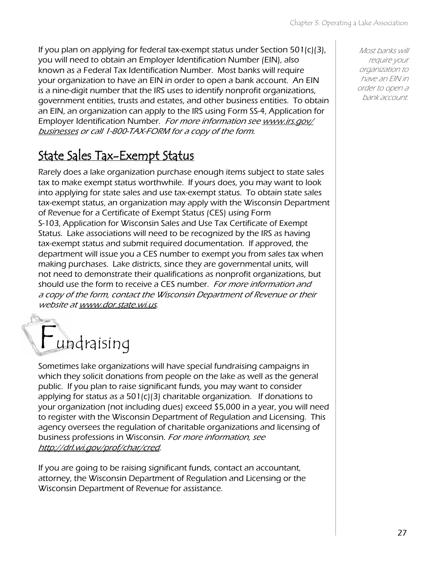If you plan on applying for federal tax-exempt status under Section  $501(c)(3)$ , you will need to obtain an Employer Identification Number (EIN), also known as a Federal Tax Identification Number. Most banks will require your organization to have an EIN in order to open a bank account. An EIN is a nine-digit number that the IRS uses to identify nonprofit organizations, government entities, trusts and estates, and other business entities. To obtain an EIN, an organization can apply to the IRS using Form SS-4, Application for Employer Identification Number. For more information see [www.irs.gov/](http://www.irs.gov/businesses/index.html) [businesses](http://www.irs.gov/businesses/index.html) or call 1-800-TAX-FORM for a copy of the form.

### State Sales Tax-Exempt Status

Rarely does a lake organization purchase enough items subject to state sales tax to make exempt status worthwhile. If yours does, you may want to look into applying for state sales and use tax-exempt status. To obtain state sales tax-exempt status, an organization may apply with the Wisconsin Department of Revenue for a Certificate of Exempt Status (CES) using Form S-103, Application for Wisconsin Sales and Use Tax Certificate of Exempt Status. Lake associations will need to be recognized by the IRS as having tax-exempt status and submit required documentation. If approved, the department will issue you a CES number to exempt you from sales tax when making purchases. Lake districts, since they are governmental units, will not need to demonstrate their qualifications as nonprofit organizations, but should use the form to receive a CES number. For more information and a copy of the form, contact the Wisconsin Department of Revenue or their website at [www.dor.state.wi.us](http://www.dor.state.wi.us/).

## Fundraising

Sometimes lake organizations will have special fundraising campaigns in which they solicit donations from people on the lake as well as the general public. If you plan to raise significant funds, you may want to consider applying for status as a 501(c)(3) charitable organization. If donations to your organization (not including dues) exceed \$5,000 in a year, you will need to register with the Wisconsin Department of Regulation and Licensing. This agency oversees the regulation of charitable organizations and licensing of business professions in Wisconsin. For more information, see [http://drl.wi.gov/prof/char/cred](http://drl.wi.gov/prof/char/cred.htm).

If you are going to be raising significant funds, contact an accountant, attorney, the Wisconsin Department of Regulation and Licensing or the Wisconsin Department of Revenue for assistance.

Most banks will require your organization to have an EIN in order to open a bank account.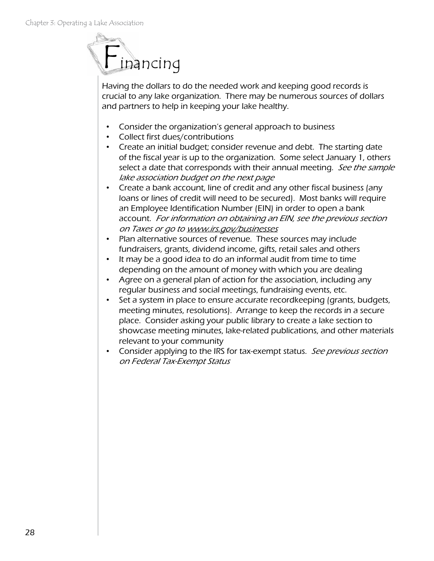

Having the dollars to do the needed work and keeping good records is crucial to any lake organization. There may be numerous sources of dollars and partners to help in keeping your lake healthy.

- Consider the organization's general approach to business
- Collect first dues/contributions
- Create an initial budget; consider revenue and debt. The starting date of the fiscal year is up to the organization. Some select January 1, others select a date that corresponds with their annual meeting. See the sample lake association budget on the next page
- Create a bank account, line of credit and any other fiscal business (any loans or lines of credit will need to be secured). Most banks will require an Employee Identification Number (EIN) in order to open a bank account. For information on obtaining an EIN, see the previous section on Taxes or go to www.irs.gov/businesses
- Plan alternative sources of revenue. These sources may include fundraisers, grants, dividend income, gifts, retail sales and others
- It may be a good idea to do an informal audit from time to time depending on the amount of money with which you are dealing
- Agree on a general plan of action for the association, including any regular business and social meetings, fundraising events, etc.
- Set a system in place to ensure accurate recordkeeping (grants, budgets, meeting minutes, resolutions). Arrange to keep the records in a secure place. Consider asking your public library to create a lake section to showcase meeting minutes, lake-related publications, and other materials relevant to your community
- Consider applying to the IRS for tax-exempt status. See previous section on Federal Tax-Exempt Status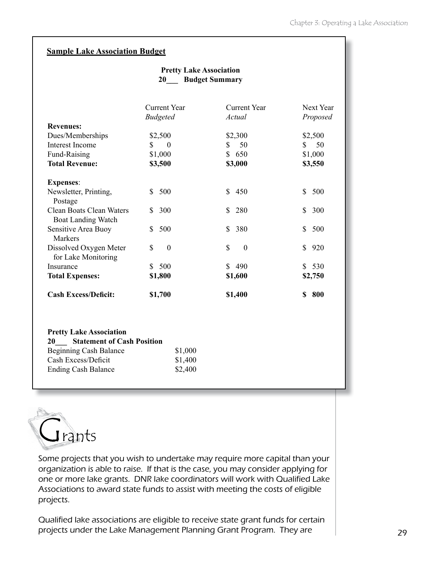#### **Sample Lake Association Budget**

#### **Pretty Lake Association 20\_\_\_ Budget Summary**

| Current Year                   | Current Year                      | Next Year      |
|--------------------------------|-----------------------------------|----------------|
|                                | Actual                            | Proposed       |
|                                |                                   |                |
| \$2,500                        | \$2,300                           | \$2,500        |
| \$<br>$\theta$                 | 50<br>S                           | 50<br>S.       |
| \$1,000                        | S.<br>650                         | \$1,000        |
| \$3,500                        | \$3,000                           | \$3,550        |
|                                |                                   |                |
|                                |                                   |                |
| \$<br>500                      | 450<br>S.                         | \$<br>500      |
| S.                             | S                                 | \$<br>300      |
|                                |                                   |                |
| 500<br>S.                      | 380<br>S.                         | \$<br>500      |
|                                |                                   |                |
| $\mathbb{S}$<br>$\overline{0}$ | \$<br>$\theta$                    | \$<br>920      |
|                                |                                   |                |
| 500<br>S.                      | 490<br>S.                         | 530<br>S.      |
| \$1,800                        | \$1,600                           | \$2,750        |
|                                |                                   | 800<br>\$      |
|                                | <b>Budgeted</b><br>300<br>\$1,700 | 280<br>\$1,400 |

#### **Pretty Lake Association 20\_\_\_ Statement of Cash Position** Beginning Cash Balance \$1,000 Cash Excess/Deficit \$1,400 Ending Cash Balance \$2,400



Some projects that you wish to undertake may require more capital than your organization is able to raise. If that is the case, you may consider applying for one or more lake grants. DNR lake coordinators will work with Qualified Lake Associations to award state funds to assist with meeting the costs of eligible projects.

Qualified lake associations are eligible to receive state grant funds for certain projects under the Lake Management Planning Grant Program. They are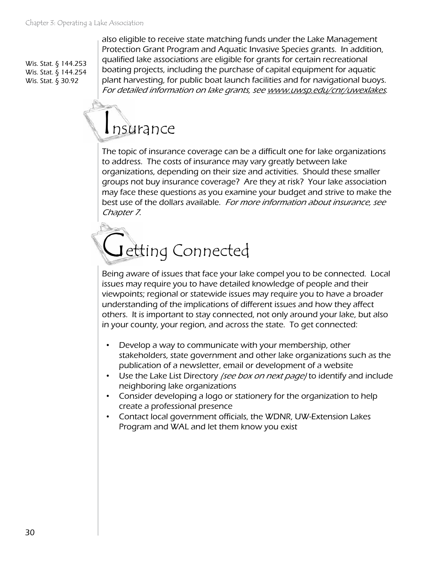Wis. Stat. § 144.253 Wis. Stat. § 144.254 Wis. Stat. § 30.92

also eligible to receive state matching funds under the Lake Management Protection Grant Program and Aquatic Invasive Species grants. In addition, qualified lake associations are eligible for grants for certain recreational boating projects, including the purchase of capital equipment for aquatic plant harvesting, for public boat launch facilities and for navigational buoys. For detailed information on lake grants, see [www.uwsp.edu/cnr/uwexlakes](http://www.uwsp.edu/cnr/uwexlakes/).

## Insurance

The topic of insurance coverage can be a difficult one for lake organizations to address. The costs of insurance may vary greatly between lake organizations, depending on their size and activities. Should these smaller groups not buy insurance coverage? Are they at risk? Your lake association may face these questions as you examine your budget and strive to make the best use of the dollars available. For more information about insurance, see Chapter 7.

## Getting Connected

Being aware of issues that face your lake compel you to be connected. Local issues may require you to have detailed knowledge of people and their viewpoints; regional or statewide issues may require you to have a broader understanding of the implications of different issues and how they affect others. It is important to stay connected, not only around your lake, but also in your county, your region, and across the state. To get connected:

- Develop a way to communicate with your membership, other stakeholders, state government and other lake organizations such as the publication of a newsletter, email or development of a website
- Use the Lake List Directory *(see box on next page)* to identify and include neighboring lake organizations
- Consider developing a logo or stationery for the organization to help create a professional presence
- Contact local government officials, the WDNR, UW-Extension Lakes Program and WAL and let them know you exist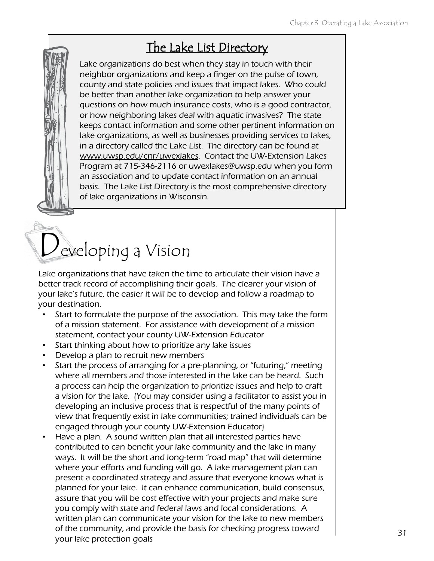### The Lake List Directory

Lake organizations do best when they stay in touch with their neighbor organizations and keep a finger on the pulse of town, county and state policies and issues that impact lakes. Who could be better than another lake organization to help answer your questions on how much insurance costs, who is a good contractor, or how neighboring lakes deal with aquatic invasives? The state keeps contact information and some other pertinent information on lake organizations, as well as businesses providing services to lakes, in a directory called the Lake List. The directory can be found at [www.uwsp.edu/cnr/uwexlakes](http://www.uwsp.edu./cnr/uwexlakes/). Contact the UW-Extension Lakes Program at 715-346-2116 or [uwexlakes@uwsp.edu](mailto:uwexlakes@uwsp.edu) when you form an association and to update contact information on an annual basis. The Lake List Directory is the most comprehensive directory of lake organizations in Wisconsin.

# Developing a Vision

Lake organizations that have taken the time to articulate their vision have a better track record of accomplishing their goals. The clearer your vision of your lake's future, the easier it will be to develop and follow a roadmap to your destination.

- Start to formulate the purpose of the association. This may take the form of a mission statement. For assistance with development of a mission statement, contact your county UW-Extension Educator
- Start thinking about how to prioritize any lake issues
- Develop a plan to recruit new members
- Start the process of arranging for a pre-planning, or "futuring," meeting where all members and those interested in the lake can be heard. Such a process can help the organization to prioritize issues and help to craft a vision for the lake. (You may consider using a facilitator to assist you in developing an inclusive process that is respectful of the many points of view that frequently exist in lake communities; trained individuals can be engaged through your county UW-Extension Educator)
- Have a plan. A sound written plan that all interested parties have contributed to can benefit your lake community and the lake in many ways. It will be the short and long-term "road map" that will determine where your efforts and funding will go. A lake management plan can present a coordinated strategy and assure that everyone knows what is planned for your lake. It can enhance communication, build consensus, assure that you will be cost effective with your projects and make sure you comply with state and federal laws and local considerations. A written plan can communicate your vision for the lake to new members of the community, and provide the basis for checking progress toward your lake protection goals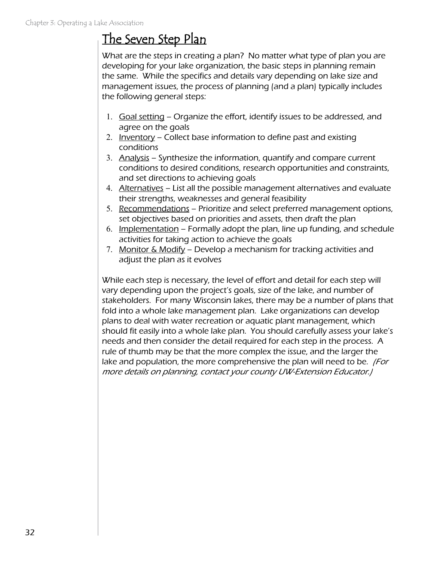## The Seven Step Plan

What are the steps in creating a plan? No matter what type of plan you are developing for your lake organization, the basic steps in planning remain the same. While the specifics and details vary depending on lake size and management issues, the process of planning (and a plan) typically includes the following general steps:

- 1. Goal setting Organize the effort, identify issues to be addressed, and agree on the goals
- 2. Inventory Collect base information to define past and existing conditions
- 3. Analysis Synthesize the information, quantify and compare current conditions to desired conditions, research opportunities and constraints, and set directions to achieving goals
- 4. Alternatives List all the possible management alternatives and evaluate their strengths, weaknesses and general feasibility
- 5. Recommendations Prioritize and select preferred management options, set objectives based on priorities and assets, then draft the plan
- 6. Implementation Formally adopt the plan, line up funding, and schedule activities for taking action to achieve the goals
- 7. Monitor & Modify Develop a mechanism for tracking activities and adjust the plan as it evolves

While each step is necessary, the level of effort and detail for each step will vary depending upon the project's goals, size of the lake, and number of stakeholders. For many Wisconsin lakes, there may be a number of plans that fold into a whole lake management plan. Lake organizations can develop plans to deal with water recreation or aquatic plant management, which should fit easily into a whole lake plan. You should carefully assess your lake's needs and then consider the detail required for each step in the process. A rule of thumb may be that the more complex the issue, and the larger the lake and population, the more comprehensive the plan will need to be. *(For* more details on planning, contact your county UW-Extension Educator.)